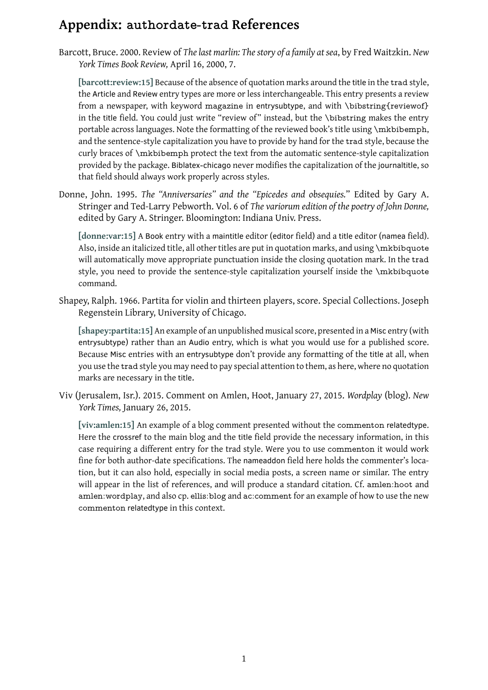Barcott, Bruce. 2000. Review of *The last marlin: The story of a family at sea*, by Fred Waitzkin. *New York Times Book Review,* April 16, 2000, 7.

<span id="page-0-0"></span>**[barcott:review:15]** Because of the absence of quotation marks around the title in the trad style, the Article and Review entry types are more or less interchangeable. This entry presents a review from a newspaper, with keyword magazine in entrysubtype, and with \bibstring{reviewof} in the title field. You could just write "review of" instead, but the \bibstring makes the entry [portable across langu](#page-1-0)ages. Note the formatting of the reviewed book's title using \mkbibemph, and the sentence-style capitalization you have to provide by hand for the trad style, because the curly braces of \mkbibemph protect the text from the automatic sentence-style capitalization provided by the package. Biblatex-chicago never modifies the capitalization of the journaltitle, so that field should always work properly across styles.

Donne, John. 1995. *The "Anniversaries" and the "Epicedes and obsequies.*" Edited by Gary A. Stringer and Ted-Larry Pebworth. Vol. 6 of *The variorum edition of the poetry of John Donne,* edited by Gary A. Stringer. Bloomington: Indiana Univ. Press.

**[donne:var:15]** A Book entry with a maintitle editor (editor field) and a title editor (namea field). Also, inside an italicized title, all other titles are put in quotation marks, and using \mkbibquote will automatically move appropriate punctuation inside the closing quotation mark. In the trad [style, you need](#page-1-1) to provide the sentence-style capitalization yourself inside the \mkbibquote command.

Shapey, Ralph. 1966. Partita for violin and thirteen players, score. Special Collections. Joseph Regenstein Library, University of Chicago.

<span id="page-0-1"></span>**[shapey:partita:15]** An example of an unpublished musical score, presented in a Misc entry (with entrysubtype) rather than an Audio entry, which is what you would use for a published score. Because Misc entries with an entrysubtype don't provide any formatting of the title at all, when you use the trad style you may need to pay special attention to them, as here, where no quotation [marks are necessary](#page-1-2) in the title.

Viv (Jerusalem, Isr.). 2015. Comment on Amlen, Hoot, January 27, 2015. *Wordplay* (blog). *New York Times,* January 26, 2015.

<span id="page-0-2"></span>**[viv:amlen:15]** An example of a blog comment presented without the commenton relatedtype. Here the crossref to the main blog and the title field provide the necessary information, in this case requiring a different entry for the trad style. Were you to use commenton it would work fine for both author-date specifications. The nameaddon field here holds the commenter's loca[tion, but it can](#page-1-3) also hold, especially in social media posts, a screen name or similar. The entry will appear in the list of references, and will produce a standard citation. Cf. amlen:hoot and amlen:wordplay, and also cp. ellis:blog and ac:comment for an example of how to use the new commenton relatedtype in this context.